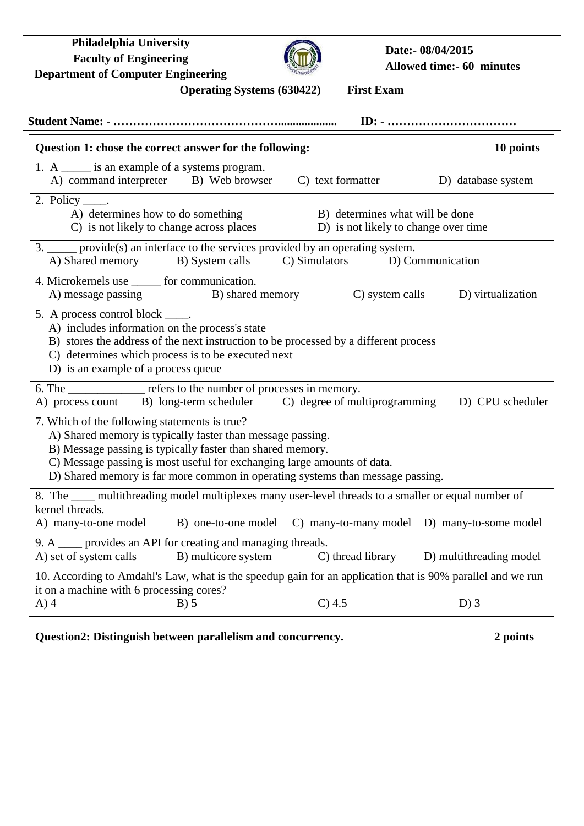| Philadelphia University<br><b>Faculty of Engineering</b><br><b>Department of Computer Engineering</b>                                                                                                                                                                                                                                  |                   | Date:- 08/04/2015<br><b>Allowed time:- 60 minutes</b> |  |
|----------------------------------------------------------------------------------------------------------------------------------------------------------------------------------------------------------------------------------------------------------------------------------------------------------------------------------------|-------------------|-------------------------------------------------------|--|
| <b>First Exam</b><br><b>Operating Systems (630422)</b>                                                                                                                                                                                                                                                                                 |                   |                                                       |  |
|                                                                                                                                                                                                                                                                                                                                        |                   |                                                       |  |
| Question 1: chose the correct answer for the following:<br>10 points                                                                                                                                                                                                                                                                   |                   |                                                       |  |
| 1. A ______ is an example of a systems program.<br>A) command interpreter B) Web browser                                                                                                                                                                                                                                               | C) text formatter | D) database system                                    |  |
| 2. Policy $\_\_\$ .<br>A) determines how to do something<br>B) determines what will be done<br>C) is not likely to change across places<br>D) is not likely to change over time                                                                                                                                                        |                   |                                                       |  |
| 3. _____ provide(s) an interface to the services provided by an operating system.<br>C) Simulators<br>A) Shared memory B) System calls<br>D) Communication                                                                                                                                                                             |                   |                                                       |  |
| 4. Microkernels use for communication.<br>A) message passing<br>B) shared memory                                                                                                                                                                                                                                                       |                   | C) system calls<br>D) virtualization                  |  |
| 5. A process control block _____.<br>A) includes information on the process's state<br>B) stores the address of the next instruction to be processed by a different process<br>C) determines which process is to be executed next<br>D) is an example of a process queue                                                               |                   |                                                       |  |
| 6. The ______________ refers to the number of processes in memory.<br>A) process count B) long-term scheduler C) degree of multiprogramming                                                                                                                                                                                            |                   | D) CPU scheduler                                      |  |
| 7. Which of the following statements is true?<br>A) Shared memory is typically faster than message passing.<br>B) Message passing is typically faster than shared memory.<br>C) Message passing is most useful for exchanging large amounts of data.<br>D) Shared memory is far more common in operating systems than message passing. |                   |                                                       |  |
| 8. The <u>computitive multiplexes</u> many user-level threads to a smaller or equal number of<br>kernel threads.<br>A) many-to-one model<br>B) one-to-one model<br>C) many-to-many model<br>D) many-to-some model                                                                                                                      |                   |                                                       |  |
| 9. A _____ provides an API for creating and managing threads.<br>A) set of system calls<br>D) multithreading model<br>B) multicore system<br>C) thread library                                                                                                                                                                         |                   |                                                       |  |
| 10. According to Amdahl's Law, what is the speedup gain for an application that is 90% parallel and we run<br>it on a machine with 6 processing cores?                                                                                                                                                                                 |                   |                                                       |  |
| $A)$ 4<br>$B)$ 5                                                                                                                                                                                                                                                                                                                       | C) 4.5            | $D)$ 3                                                |  |

## **Question2: Distinguish between parallelism and concurrency. 2 points**